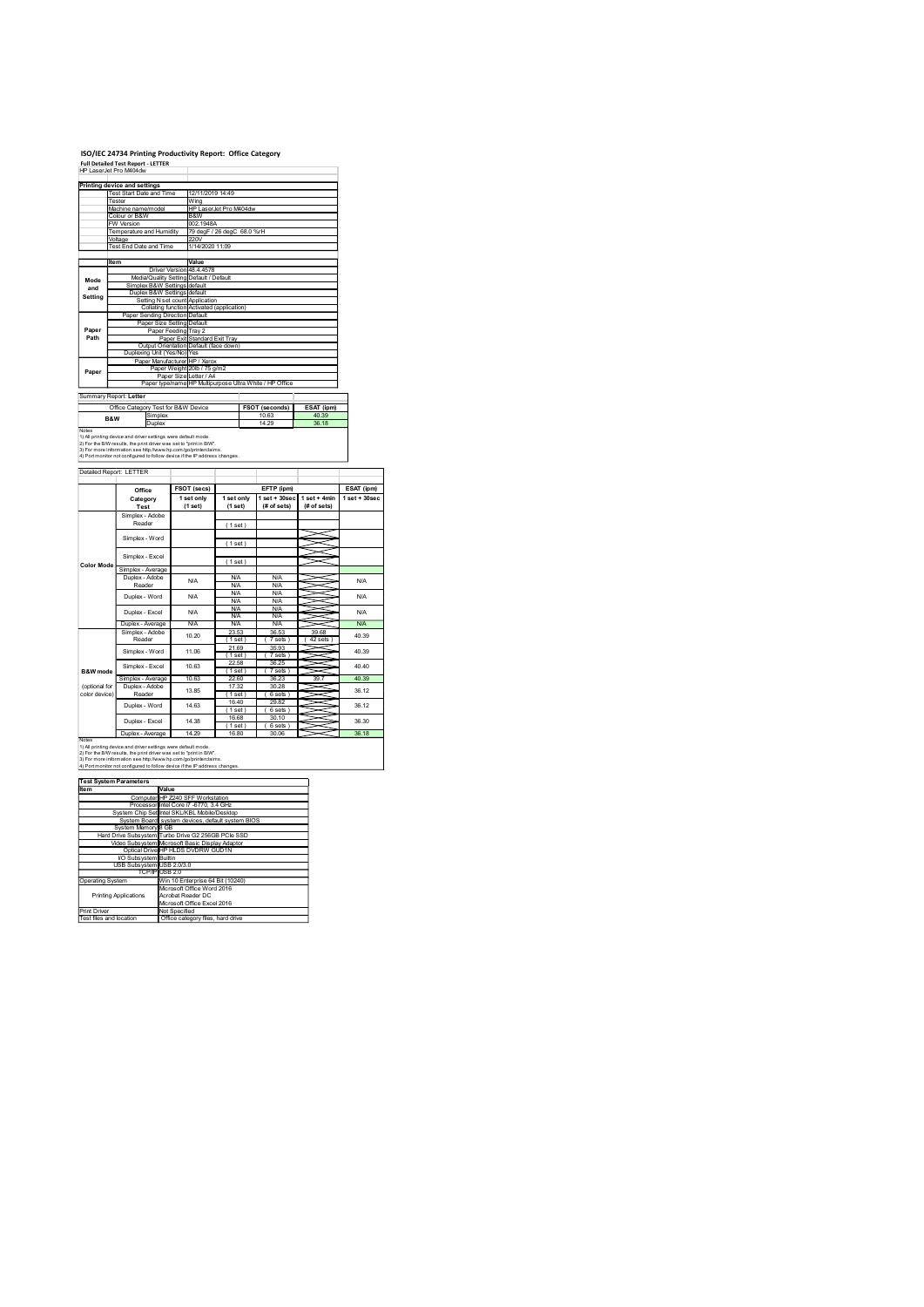# ISO/IEC 24734 Printing Productivity Report: Office Category<br>Full Detailed Test Report - LETTER<br>HP LaserJet Pro M404dw

|                                | ISO/IEC 24734 Printing Productivity Report: Office Category                                                                                                                                            |                                                                                   |                                        |                                 |                                              |                 |
|--------------------------------|--------------------------------------------------------------------------------------------------------------------------------------------------------------------------------------------------------|-----------------------------------------------------------------------------------|----------------------------------------|---------------------------------|----------------------------------------------|-----------------|
| HP LaserJet Pro M404dw         | <b>Full Detailed Test Report - LETTER</b>                                                                                                                                                              |                                                                                   |                                        |                                 |                                              |                 |
|                                | Printing device and settings<br>Test Start Date and Time<br>Tester                                                                                                                                     | 12/11/2019 14:49                                                                  |                                        |                                 |                                              |                 |
|                                | Machine name/model<br>Colour or B&W                                                                                                                                                                    | Wing<br>B&W                                                                       | HP LaserJet Pro M404dw                 |                                 |                                              |                 |
|                                | FW Version<br>Temperature and Humidity<br>/oltage                                                                                                                                                      | 002.1948A<br>220V                                                                 | 79 degF / 26 degC 68.0 %rH             |                                 |                                              |                 |
|                                | Test End Date and Time                                                                                                                                                                                 | 1/14/2020 11:09                                                                   |                                        |                                 |                                              |                 |
|                                | ltem                                                                                                                                                                                                   | Value<br>Driver Version 48.4.4578<br>Media/Quality Setting Default / Default      |                                        |                                 |                                              |                 |
| Mode<br>and                    | Simplex B&W Settings default<br>Duplex B&W Settings default                                                                                                                                            |                                                                                   |                                        |                                 |                                              |                 |
| Setting                        | Paper Sending Direction Default                                                                                                                                                                        | Setting N set count Application<br>Collating function Activated (application)     |                                        |                                 |                                              |                 |
| Paper                          |                                                                                                                                                                                                        | Paper Size Setting Default<br>Paper Feeding Tray 2                                |                                        |                                 |                                              |                 |
| Path                           | Duplexing Unit (Yes/No) Yes                                                                                                                                                                            | Paper Exit Standard Exit Tray<br>Output Orientation Default (face down)           |                                        |                                 |                                              |                 |
| Paper                          |                                                                                                                                                                                                        | Paper Manufacturer HP / Xerox<br>Paper Weight 20lb / 75 g/m2                      |                                        |                                 |                                              |                 |
|                                |                                                                                                                                                                                                        | Paper Size Letter / A4<br>Paper type/name HP Multipurpose Ultra White / HP Office |                                        |                                 |                                              |                 |
| Summary Report: Letter         | Office Category Test for B&W Device                                                                                                                                                                    |                                                                                   |                                        | FSOT (seconds)                  | ESAT (ipm)                                   |                 |
| B&W<br>Notes                   | Simplex<br>Duplex                                                                                                                                                                                      |                                                                                   |                                        | 10.63<br>14.29                  | 40.39<br>36.18                               |                 |
|                                | 1) All printing device and driver settings were default mode<br>2) For the B/W results, the print driver was set to "print in B/W".<br>3) For more information see http://www.hp.com/go/printerclaims. |                                                                                   |                                        |                                 |                                              |                 |
| Detailed Report: LETTER        | 4) Port monitor not configured to follow device if the IP address changes                                                                                                                              |                                                                                   |                                        |                                 |                                              |                 |
|                                | Office                                                                                                                                                                                                 | FSOT (secs)                                                                       |                                        | EFTP (ipm)                      |                                              | ESAT (ipm)      |
|                                | Category<br>Test                                                                                                                                                                                       | 1 set only<br>(1 set)                                                             | 1 set only<br>(1 set)                  | (# of sets)                     | 1 set + 30 sec   1 set + 4min<br>(# of sets) | $1$ set + 30sec |
|                                | Simplex - Adobe<br>Reader                                                                                                                                                                              |                                                                                   | (1 set)                                |                                 |                                              |                 |
|                                | Simplex - Word                                                                                                                                                                                         |                                                                                   | (1 set)                                |                                 |                                              |                 |
| <b>Color Mode</b>              | Simplex - Excel<br>Simplex - Average                                                                                                                                                                   |                                                                                   | (1 set)                                |                                 |                                              |                 |
|                                | Duplex - Adobe<br>Reader                                                                                                                                                                               | <b>N/A</b>                                                                        | <b>N/A</b><br><b>N/A</b>               | <b>N/A</b><br><b>N/A</b>        |                                              | N/A             |
|                                | Duplex - Word                                                                                                                                                                                          | $\mathsf{N\!/\!A}$                                                                | <b>N/A</b><br><b>N/A</b><br><b>N/A</b> | N/A<br><b>N/A</b><br><b>N/A</b> | 5                                            | N/A             |
|                                | Duplex - Excel<br>Duplex - Average                                                                                                                                                                     | $\mathsf{N\!/\!A}$<br><b>N/A</b>                                                  | <b>N/A</b><br><b>N/A</b>               | N/A<br>N/A                      | 5                                            | N/A<br>N/A      |
|                                | Simplex - Adobe<br>Reader                                                                                                                                                                              | 10.20                                                                             | 23.53<br>(1 set)<br>21.69              | 36.53<br>(7 sets)<br>35.93      | 39.68<br>(42 sets                            | 40.39           |
|                                | Simplex - Word<br>Simplex - Excel                                                                                                                                                                      | 11.06<br>10.63                                                                    | (1 set)<br>22.58                       | (7 sets)<br>36.25               | ~                                            | 40.39<br>40.40  |
| B&W mode                       | Simplex - Average<br>Duplex - Adobe                                                                                                                                                                    | 10.63                                                                             | (1 set)<br>22.60<br>17.32              | (7 sets)<br>36.23<br>30.28      | 39.7                                         | 40.39           |
|                                | Reader                                                                                                                                                                                                 | 13.85                                                                             | (1 set)                                | (6 sets)                        |                                              | 36.12           |
| (optional for<br>color device) | Duplex - Word                                                                                                                                                                                          | 14.63                                                                             | 16.40<br>(1 set)                       | 29.82<br>(6 sets)               |                                              | 36.12           |

(1 set) 1 set only (1 set) 1 set + 30sec set+30sec | 1 set+4min | 1 set+30sec |<br>(# of sets) | (# of sets) | set + 4 min | 1 set + 30 sec<br>(# of sets) | (1 set ) and  $\overline{a}$  and  $\overline{b}$  and  $\overline{a}$  and  $\overline{a}$  and  $\overline{a}$  and  $\overline{a}$  and  $\overline{a}$  and  $\overline{a}$  and  $\overline{a}$  and  $\overline{a}$  and  $\overline{a}$  and  $\overline{a}$  and  $\overline{a}$  and  $\overline{a}$  and  $\overline{a}$  and  $\overline{a}$  and  $(1 set)$   $\longrightarrow$  $(1 set)$   $\longrightarrow$ 23.53 38.53 39.53 39.53 39.53 39.53 39.53 39.53 39.53 39.53 39.53 39.53 39.53 39.53 39.53 39.53 39.53 39.53 39<br>23.53 39.53 39.53 39.53 39.53 39.53 39.53 39.53 39.53 39.53 39.53 39.53 39.53 39.53 39.53 39.53 39.53 39.53 3<br>2  $\begin{array}{lllllllll} \frac{\sqrt{25}-\sqrt{25}-\sqrt{25}-\sqrt{25}-\sqrt{25}-\sqrt{25}-\sqrt{25}-\sqrt{25}-\sqrt{25}-\sqrt{25}-\sqrt{25}-\sqrt{25}-\sqrt{25}-\sqrt{25}-\sqrt{25}-\sqrt{25}-\sqrt{25}-\sqrt{25}-\sqrt{25}-\sqrt{25}-\sqrt{25}-\sqrt{25}-\sqrt{25}-\sqrt{25}-\sqrt{25}-\sqrt{25}-\sqrt{25}-\sqrt{25}-\sqrt{25}-\sqrt{25}-\sqrt{25}-\sqrt{25}-\sqrt{25}-\sqrt{25}-\sqrt{$ ( 1 set ) ( 7 sets ) 22.58 36.25 (  $\frac{1}{2}$  set  $\frac{1}{2}$  set  $\frac{1}{2}$  set  $\frac{1}{2}$  set  $\frac{1}{2}$  set  $\frac{1}{2}$  set  $\frac{1}{2}$  set  $\frac{1}{2}$  set  $\frac{1}{2}$  set  $\frac{1}{2}$  set  $\frac{1}{2}$  set  $\frac{1}{2}$  set  $\frac{1}{2}$  set  $\frac{1}{2}$  set  $\frac{1}{2}$  set  $\frac{1}{2}$ 17.32 30.28 ( 1 set ) ( 6 sets ) 16.40 29.82 ( 1 set ) ( 1 set ) ( 1 set ) ( 1 set ) ( 1 set ) ( 1 set ) ( 1 set ) ( 1 set ) ( 1 set ) ( 1 set ) ( 1 set ) ( 1 set ) ( 1 set ) ( 1 set ) ( 1 set ) ( 1 set ) ( 1 set ) ( 1 set ) ( 1 set ) ( 1 set ) ( 1 set ) ( 1 set ) ( ( 1 set ) ( 6 sets ) Duplex - Average 14.29 16.80 30.06 36.18 40.40 Office ESOT(secs) EFTP(pm) ESAT(pm)<br>Category Tsetonly 1.setonly 1.set+309ec 1.set+4min 1.set+309ec<br>Test (1.set) (1.set) (#offsets) (#ofsets) N/A N/A N/A N/A Simplex - Word (1 set) Notes 1) All printing device and driver settings were default mode. 2) For the B/W results, the print driver was set to "print in B/W". 3) For more information see http://www.hp.com/go/printerclaims. 4) Port monitor not configured to follow device if the IP address changes. B&W mode More Contract Contract Contract Contract Contract Contract Contract Contract Contract Contract Contract Contract Contract Contract Contract Contract Contract Contract Contract Contract Contract Contract Contract Contract C color device) Color device  $\frac{1}{\sqrt{2}}$  and  $\frac{1}{\sqrt{2}}$  and  $\frac{1}{\sqrt{2}}$  and  $\frac{1}{\sqrt{2}}$  and  $\frac{1}{\sqrt{2}}$  and  $\frac{1}{\sqrt{2}}$  and  $\frac{1}{\sqrt{2}}$  and  $\frac{1}{\sqrt{2}}$  and  $\frac{1}{\sqrt{2}}$  and  $\frac{1}{\sqrt{2}}$  and  $\frac{1}{\sqrt{2}}$  and  $\frac{1}{\$  $\begin{array}{|c|c|c|c|c|}\hline \text{NA} & \text{NVA} & \text{NVA} & \text{NA} \\ \hline \text{NA} & \text{NA} & \text{NA} & \text{NA} \\ \hline \text{10,20} & 23.53 & 36.53 & 39.68 & \text{NA} \\ \hline \text{11,360} & 1 & 7 & 865 & 142 & 865 & 40.39 \\ \hline \text{21,60} & 35.63 & 36.26 & 42 & 865 & 40.39 \\ \hline \text{11,60} & 1 & 1 & 1 &$ 14.400 Duplex - Adobe 13.85  $\frac{(17.32 \times 30^{2} \text{R})}{(1.361 \times 10^{2})}$  and  $\frac{(16.40 \times 26.82 \times 10^{2})}{(1.61 \times 10^{2})}$  36.12<br>
20.12<br>
20.14.36  $\frac{(16.61 \times 6.861 \times 10^{2})}{(1.61 \times 10^{2})}$  36.12<br>
20.19 36.30 14.63 Simplex - Excel 10.63  $\begin{array}{|c|c|c|c|c|c|c|}\n\hline\n\text{NIA} & \text{NIA} & \text{NIA} & \text{NIA} & \text{NIA} \\
\hline\n\text{NIA} & \text{NIA} & \text{NIA} & \text{NIA} & \text{NIA} & \text{NIA} \\
\text{NIA} & \text{NIA} & \text{NIA} & \text{NIA} & \text{NIA} & \text{NIA}\n\hline\n\end{array}$ 40.39 40.39 ITEM VALUE COMPUTER COMPUTER COMPUTER COMPUTER COMPUTER COMPUTER COMPUTER CONTINUES CONTINUES CONTINUES CORE CORE CORE SYSTEM CONTINUES CONTINUES CONTINUES CONTINUES CONTINUES CONTINUES CONTINUES CONTINUES CONTINUES CONTI System Memory 8 GB Hard Control and Control and Control and Control and Control and Control and Control and Control and Control and Control and Control and Control and Control and Control and Control and Control and Contr Video Subsystem Microsoft Basic Display Adaptor Adaptor Display Adaptor Adaptor Display Adaptor Display Adaptor Adaptor Display Adaptor Display Adaptor Display Adaptor Display Adaptor Display Adaptor Display Adaptor Displ I/O Subsystem Builtin USB Subsystem USB 2.0/3.0 TCP/IP USB 2.0 Operating System Win 10 Enterprise 64 Bit (10240) Printing Applications Microsoft Office Word 2016 Acrobat Reader DC Microsoft Office Excel 2016 Print Driver Not Specified Test files and location Office category files, hard drive Test System Parameters

| .                            | .                                                  |
|------------------------------|----------------------------------------------------|
|                              | Computer HP Z240 SFF Workstation                   |
|                              | Processor Intel Core i7 -6770, 3.4 GHz             |
|                              | System Chip Set Intel SKL/KBL Mobile/Desktop       |
|                              | System Board system devices, default system BIOS   |
| System Memory 8 GB           |                                                    |
|                              | Hard Drive Subsystem Turbo Drive G2 256GB PCle SSD |
|                              | Video Subsystem Microsoft Basic Display Adaptor    |
|                              | Optical Drive HP HLDS DVDRW GUD1N                  |
| VO Subsystem Builtin         |                                                    |
| USB Subsystem USB 2.0/3.0    |                                                    |
|                              | TCP/IP USB 2.0                                     |
| Operating System             | Win 10 Enterprise 64 Bit (10240)                   |
|                              | Microsoft Office Word 2016                         |
| <b>Printing Applications</b> | Acrobat Reader DC                                  |
|                              | Microsoft Office Excel 2016                        |
| Print Driver                 | Not Specified                                      |
| .<br><b>CONTRACTOR</b>       | $\overline{\phantom{a}}$                           |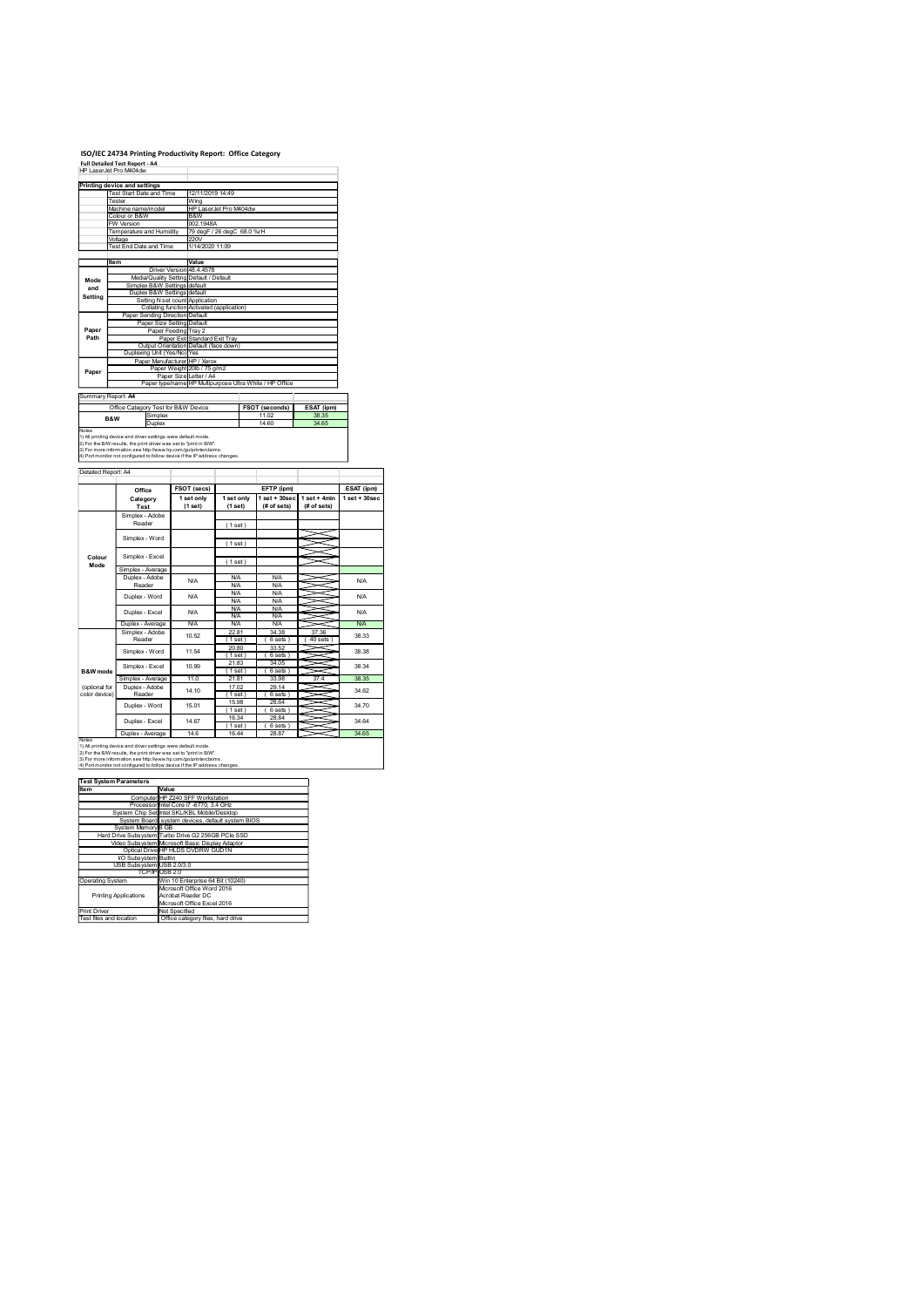## ISO/IEC 24734 Printing Productivity Report: Office Category<br>Full Detailed Test Report - A4<br>HP LaserJet Pro M404dw

|                                | ISO/IEC 24734 Printing Productivity Report: Office Category                                                                                                                                             |                                                                                   |                            |                                                  |                  |                  |
|--------------------------------|---------------------------------------------------------------------------------------------------------------------------------------------------------------------------------------------------------|-----------------------------------------------------------------------------------|----------------------------|--------------------------------------------------|------------------|------------------|
|                                | <b>Full Detailed Test Report - A4</b><br>HP LaserJet Pro M404dw                                                                                                                                         |                                                                                   |                            |                                                  |                  |                  |
|                                | Printing device and settings<br><b>Test Start Date and Time</b>                                                                                                                                         | 12/11/2019 14:49                                                                  |                            |                                                  |                  |                  |
|                                | Tester<br>Machine name/model<br>Colour or B&W                                                                                                                                                           | Wing<br>B&W                                                                       | HP LaserJet Pro M404dw     |                                                  |                  |                  |
|                                | FW Version<br>Temperature and Humidity                                                                                                                                                                  | 002.1948A                                                                         | 79 degF / 26 degC 68.0 %rH |                                                  |                  |                  |
|                                | Voltage<br>Test End Date and Time                                                                                                                                                                       | 220V<br>1/14/2020 11:09                                                           |                            |                                                  |                  |                  |
|                                | Item                                                                                                                                                                                                    | Value<br>Driver Version 48.4.4578<br>Media/Quality Setting Default / Default      |                            |                                                  |                  |                  |
| Mode<br>and                    | Simplex B&W Settings default<br>Duplex B&W Settings default                                                                                                                                             |                                                                                   |                            |                                                  |                  |                  |
| Setting                        | Paper Sending Direction Default                                                                                                                                                                         | Setting N set count Application<br>Collating function Activated (application)     |                            |                                                  |                  |                  |
| Paper                          |                                                                                                                                                                                                         | Paper Size Setting Default<br>Paper Feeding Tray 2                                |                            |                                                  |                  |                  |
| Path                           | Duplexing Unit (Yes/No) Yes                                                                                                                                                                             | Paper Exit Standard Exit Tray<br>Output Orientation Default (face down)           |                            |                                                  |                  |                  |
| Paper                          |                                                                                                                                                                                                         | Paper Manufacturer HP / Xerox<br>Paper Weight 20lb / 75 g/m2                      |                            |                                                  |                  |                  |
|                                |                                                                                                                                                                                                         | Paper Size Letter / A4<br>Paper type/name HP Multipurpose Ultra White / HP Office |                            |                                                  |                  |                  |
| Summary Report: A4             | Office Category Test for B&W Device                                                                                                                                                                     |                                                                                   |                            | FSOT (seconds)                                   | ESAT (ipm)       |                  |
| B&W<br>Notes                   | Simplex<br>Duplex                                                                                                                                                                                       |                                                                                   |                            | 11.02<br>14.60                                   | 38.35<br>34.65   |                  |
|                                | 1) All printing device and driver settings were default mode.<br>2) For the B/W results, the print driver was set to "print in B/W".<br>3) For more information see http://www.hp.com/go/printerclaims. |                                                                                   |                            |                                                  |                  |                  |
| Detailed Report: A4            | 4) Port monitor not configured to follow device if the IP address changes.                                                                                                                              |                                                                                   |                            |                                                  |                  |                  |
|                                | Office                                                                                                                                                                                                  | FSOT (secs)                                                                       |                            | EFTP (ipm)                                       |                  | ESAT (ipm)       |
|                                | Category<br>Test                                                                                                                                                                                        | 1 set only<br>(1 set)                                                             | 1 set only<br>(1 set)      | $1 set + 30 sec$ $1 set + 4 min$<br>$#$ of sets) | (# of sets)      | $1 set + 30 sec$ |
|                                | Simplex - Adobe<br>Reader                                                                                                                                                                               |                                                                                   | (1 set)                    |                                                  |                  |                  |
|                                | Simplex - Word                                                                                                                                                                                          |                                                                                   | (1 set)                    |                                                  |                  |                  |
| Colour<br>Mode                 | Simplex - Excel                                                                                                                                                                                         |                                                                                   | (1 set)                    |                                                  |                  |                  |
|                                | Simplex - Average<br>Duplex - Adobe<br>Reader                                                                                                                                                           | N/A                                                                               | <b>N/A</b><br><b>N/A</b>   | <b>N/A</b><br><b>N/A</b>                         |                  | N/A              |
|                                | Duplex - Word                                                                                                                                                                                           | $\mathsf{N\!V\!A}$                                                                | <b>N/A</b><br><b>N/A</b>   | N/A<br><b>N/A</b>                                |                  | N/A              |
|                                | Duplex - Excel<br>Duplex - Average                                                                                                                                                                      | <b>N/A</b><br><b>N/A</b>                                                          | <b>N/A</b><br>N/A<br>N/A   | N/A<br>N/A<br>N/A                                | ~                | N/A<br>N/A       |
|                                | Simplex - Adobe<br>Reader                                                                                                                                                                               | 10.52                                                                             | 22.81<br>(1 set)           | 34.38<br>(6 sets)                                | 37.36<br>40 sets | 38.33            |
|                                | Simplex - Word                                                                                                                                                                                          | 11.54                                                                             | 20.80<br>(1 set)<br>21.83  | 33.52<br>(6 sets)<br>34.05                       | 5<br>X           | 38.38            |
| <b>B&amp;W</b> mode            | Simplex - Excel<br>Simplex - Average                                                                                                                                                                    | 10.99<br>11.0                                                                     | (1 set)<br>21.81           | (6 sets)<br>33.98                                | 37.4             | 38.34<br>38.35   |
|                                |                                                                                                                                                                                                         |                                                                                   |                            |                                                  |                  |                  |
| (optional for<br>color device) | Duplex - Adobe<br>Reader<br>Duplex - Word                                                                                                                                                               | 14.10<br>15.01                                                                    | 17.02<br>(1 set)<br>15.98  | 29.14<br>(6 sets)<br>28.64                       |                  | 34.62<br>34.70   |

|                                         | FW Version<br>Temperature and Humidity 79 degF / 26 degC 68.0 %rH                                                                                                                                                                                                                                                       |                                                                                                 | 002.1948A                            |                                        |                                                                                   |                                                                                |                               |
|-----------------------------------------|-------------------------------------------------------------------------------------------------------------------------------------------------------------------------------------------------------------------------------------------------------------------------------------------------------------------------|-------------------------------------------------------------------------------------------------|--------------------------------------|----------------------------------------|-----------------------------------------------------------------------------------|--------------------------------------------------------------------------------|-------------------------------|
|                                         | Voltage<br>Test End Date and Time                                                                                                                                                                                                                                                                                       |                                                                                                 | 220V<br>1/14/2020 11:09              |                                        |                                                                                   |                                                                                |                               |
|                                         | Item                                                                                                                                                                                                                                                                                                                    |                                                                                                 | Value                                |                                        |                                                                                   |                                                                                |                               |
| Mode<br>and                             | Simplex B&W Settings default<br>Duplex B&W Settings default                                                                                                                                                                                                                                                             | Driver Version 48.4.4578<br>Media/Quality Setting Default / Default                             |                                      |                                        |                                                                                   |                                                                                |                               |
| Setting                                 | Collating function Activated (application)<br>Paper Sending Direction Default                                                                                                                                                                                                                                           | Setting N set count Application<br>Paper Size Setting Default                                   |                                      |                                        |                                                                                   |                                                                                |                               |
| Paper<br>Path                           |                                                                                                                                                                                                                                                                                                                         | Paper Feeding Tray 2<br>Paper Exit Standard Exit Tray<br>Output Orientation Default (face down) |                                      |                                        |                                                                                   |                                                                                |                               |
| Paper                                   | Duplexing Unit (Yes/No) Yes                                                                                                                                                                                                                                                                                             | Paper Manufacturer HP / Xerox<br>Paper Weight 20lb / 75 g/m2                                    |                                      |                                        | Paper Size Letter / A4<br>Paper type/name HP Multipurpose Ultra White / HP Office |                                                                                |                               |
| Summary Report: A4                      |                                                                                                                                                                                                                                                                                                                         |                                                                                                 |                                      |                                        |                                                                                   |                                                                                |                               |
| B&W                                     | Office Category Test for B&W Device<br>Simplex                                                                                                                                                                                                                                                                          |                                                                                                 |                                      |                                        | FSOT (seconds)<br>11.02                                                           | ESAT (ipm)<br>38.35                                                            |                               |
| Notes                                   | Duplex<br>noues<br>1) All printing device and driver settings were default mode.<br>2) For the BMV results, the print driver was set to "print in BW".<br>3) For more information see http://www.hp.com/go/printerclaims.<br>4) Port monitor not con                                                                    |                                                                                                 |                                      |                                        | 14.60                                                                             | 34.65                                                                          |                               |
|                                         |                                                                                                                                                                                                                                                                                                                         |                                                                                                 |                                      |                                        |                                                                                   |                                                                                |                               |
| Detailed Report: A4                     |                                                                                                                                                                                                                                                                                                                         |                                                                                                 |                                      |                                        |                                                                                   |                                                                                |                               |
|                                         | Office<br>Category<br>Test                                                                                                                                                                                                                                                                                              |                                                                                                 | FSOT (secs)<br>1 set only<br>(1 set) | 1 set only<br>(1 set)                  | EFTP (ipm)                                                                        | 1 set + 30 sec   1 set + 4min<br>$(\# \text{ of sets})$ $(\# \text{ of sets})$ | ESAT (ipm)<br>$1$ set + 30sec |
|                                         | Simplex - Adobe<br>Reader                                                                                                                                                                                                                                                                                               |                                                                                                 |                                      | (1 set)                                |                                                                                   |                                                                                |                               |
|                                         | Simplex - Word                                                                                                                                                                                                                                                                                                          |                                                                                                 |                                      | (1 set)                                |                                                                                   | ≂<br>≍                                                                         |                               |
| Colour<br>Mode                          | Simplex - Excel                                                                                                                                                                                                                                                                                                         |                                                                                                 |                                      | (1 set)                                |                                                                                   | ⇒<br>$\prec$                                                                   |                               |
|                                         | Simplex - Average<br>Duplex - Adobe                                                                                                                                                                                                                                                                                     | <b>N/A</b>                                                                                      |                                      | <b>N/A</b>                             | N/A                                                                               | ⋚                                                                              |                               |
|                                         | Reader                                                                                                                                                                                                                                                                                                                  | <b>N/A</b>                                                                                      |                                      | <b>N/A</b><br><b>N/A</b>               | <b>N/A</b><br><b>N/A</b>                                                          |                                                                                |                               |
|                                         | Duplex - Word<br>Duplex - Excel                                                                                                                                                                                                                                                                                         | <b>N/A</b>                                                                                      |                                      | <b>N/A</b><br><b>N/A</b><br><b>N/A</b> | <b>N/A</b><br><b>N/A</b><br><b>N/A</b>                                            | ≤<br>⋍<br>X<br>X                                                               |                               |
|                                         | Duplex - Average                                                                                                                                                                                                                                                                                                        |                                                                                                 | <b>N/A</b>                           | <b>N/A</b>                             | N/A<br>34.38                                                                      | ≂<br>37.36                                                                     |                               |
|                                         | Simplex - Adobe<br>Reader<br>Simplex - Word                                                                                                                                                                                                                                                                             |                                                                                                 | 10.52<br>11.54                       | 22.81<br>(1 set)<br>20.80              | (6 sets)<br>33.52                                                                 | (40 sets)                                                                      |                               |
| B&W mode                                | Simplex - Excel                                                                                                                                                                                                                                                                                                         |                                                                                                 | 10.99                                | (1 set)<br>21.83<br>(1 set)            | (6 sets)<br>34.05<br>(6 sets)                                                     | ~<br>~                                                                         |                               |
| (optional for                           | Simplex - Average<br>Duplex - Adobe                                                                                                                                                                                                                                                                                     | 11.0                                                                                            |                                      | 21.81<br>17.02                         | 33.98<br>29.14                                                                    | 37.4                                                                           |                               |
| color device)                           | Reader                                                                                                                                                                                                                                                                                                                  |                                                                                                 | 14.10                                | (1 set)<br>15.98                       | (6 sets)<br>28.64                                                                 |                                                                                |                               |
|                                         | Duplex - Word                                                                                                                                                                                                                                                                                                           |                                                                                                 | 15.01                                | (1 set)<br>16.34                       | (6 sets)<br>28.84                                                                 | ∽                                                                              |                               |
|                                         | Duplex - Excel<br>Duplex - Average                                                                                                                                                                                                                                                                                      | 14.67                                                                                           | 14.6                                 | (1 set)<br>16.44                       | (6 sets)<br>28.87                                                                 | ⇒                                                                              |                               |
| <b>Notes</b>                            | in<br>The string device and driver settings were default mode.<br>2) For the BMV results, the print driver was set to "print in BMV".<br>3) For more information see http://www.hp.com/go/printerdaims<br>3) For more information the sett<br>4) Port monitor not configured to follow device if the IP address changes |                                                                                                 |                                      |                                        |                                                                                   |                                                                                |                               |
|                                         | Test System Parameters                                                                                                                                                                                                                                                                                                  |                                                                                                 |                                      |                                        |                                                                                   |                                                                                |                               |
| Item                                    | Computer HP Z240 SFF Workstation                                                                                                                                                                                                                                                                                        | Value                                                                                           |                                      |                                        |                                                                                   |                                                                                |                               |
|                                         | Processor Intel Core i7 -6770, 3.4 GHz<br>System Chip Set Intel SKL/KBL Mobile/Desktop                                                                                                                                                                                                                                  |                                                                                                 |                                      |                                        |                                                                                   |                                                                                |                               |
|                                         | System Board system devices, default system BIOS<br>System Memory 8 GB                                                                                                                                                                                                                                                  |                                                                                                 |                                      |                                        |                                                                                   |                                                                                |                               |
|                                         | Hard Drive Subsystem Turbo Drive G2 256GB PCIe SSD                                                                                                                                                                                                                                                                      | Video Subsystem Microsoft Basic Display Adaptor                                                 |                                      |                                        |                                                                                   |                                                                                |                               |
|                                         |                                                                                                                                                                                                                                                                                                                         |                                                                                                 |                                      |                                        |                                                                                   |                                                                                |                               |
|                                         | Optical Drive HP HLDS DVDRW GUD1N                                                                                                                                                                                                                                                                                       |                                                                                                 |                                      |                                        |                                                                                   |                                                                                |                               |
|                                         | VO Subsystem Builtin<br>USB Subsystem USB 2.0/3.0<br>TCP/IP USB 2.0                                                                                                                                                                                                                                                     |                                                                                                 |                                      |                                        |                                                                                   |                                                                                |                               |
| Operating System                        | <b>Printing Applications</b>                                                                                                                                                                                                                                                                                            | Win 10 Enterprise 64 Bit (10240)<br>Microsoft Office Word 2016<br>Acrobat Reader DC             |                                      |                                        |                                                                                   |                                                                                |                               |
| Print Driver<br>Test files and location |                                                                                                                                                                                                                                                                                                                         | Microsoft Office Excel 2016<br>Not Specified<br>Office category files, hard drive               |                                      |                                        |                                                                                   |                                                                                |                               |

|                              | Computer HP Z240 SFF Workstation                                                                                                                                                                                               |
|------------------------------|--------------------------------------------------------------------------------------------------------------------------------------------------------------------------------------------------------------------------------|
|                              | Processor Intel Core i7 -6770, 3.4 GHz                                                                                                                                                                                         |
|                              | System Chip Set Intel SKL/KBL Mobile/Desktop                                                                                                                                                                                   |
|                              | System Board system devices, default system BIOS                                                                                                                                                                               |
| System Memory 8 GB           |                                                                                                                                                                                                                                |
|                              | Hard Drive Subsystem Turbo Drive G2 256GB PCIe SSD                                                                                                                                                                             |
|                              | Video Subsystem Microsoft Basic Display Adaptor                                                                                                                                                                                |
|                              | Optical Drive HP HLDS DVDRW GUD1N                                                                                                                                                                                              |
| VO Subsystem Builtin         |                                                                                                                                                                                                                                |
| USB Subsystem USB 2.0/3.0    |                                                                                                                                                                                                                                |
|                              | TCP/IP USB 2.0                                                                                                                                                                                                                 |
| <b>Operating System</b>      | Win 10 Enterprise 64 Bit (10240)                                                                                                                                                                                               |
|                              | Microsoft Office Word 2016                                                                                                                                                                                                     |
| <b>Printing Applications</b> | Acrobat Reader DC                                                                                                                                                                                                              |
|                              | Microsoft Office Excel 2016                                                                                                                                                                                                    |
| Print Driver                 | Not Specified                                                                                                                                                                                                                  |
|                              | $-0.00$ $-0.00$ $-0.00$ $-0.00$ $-0.00$ $-0.00$ $-0.00$ $-0.00$ $-0.00$ $-0.00$ $-0.00$ $-0.00$ $-0.00$ $-0.00$ $-0.00$ $-0.00$ $-0.00$ $-0.00$ $-0.00$ $-0.00$ $-0.00$ $-0.00$ $-0.00$ $-0.00$ $-0.00$ $-0.00$ $-0.00$ $-0.0$ |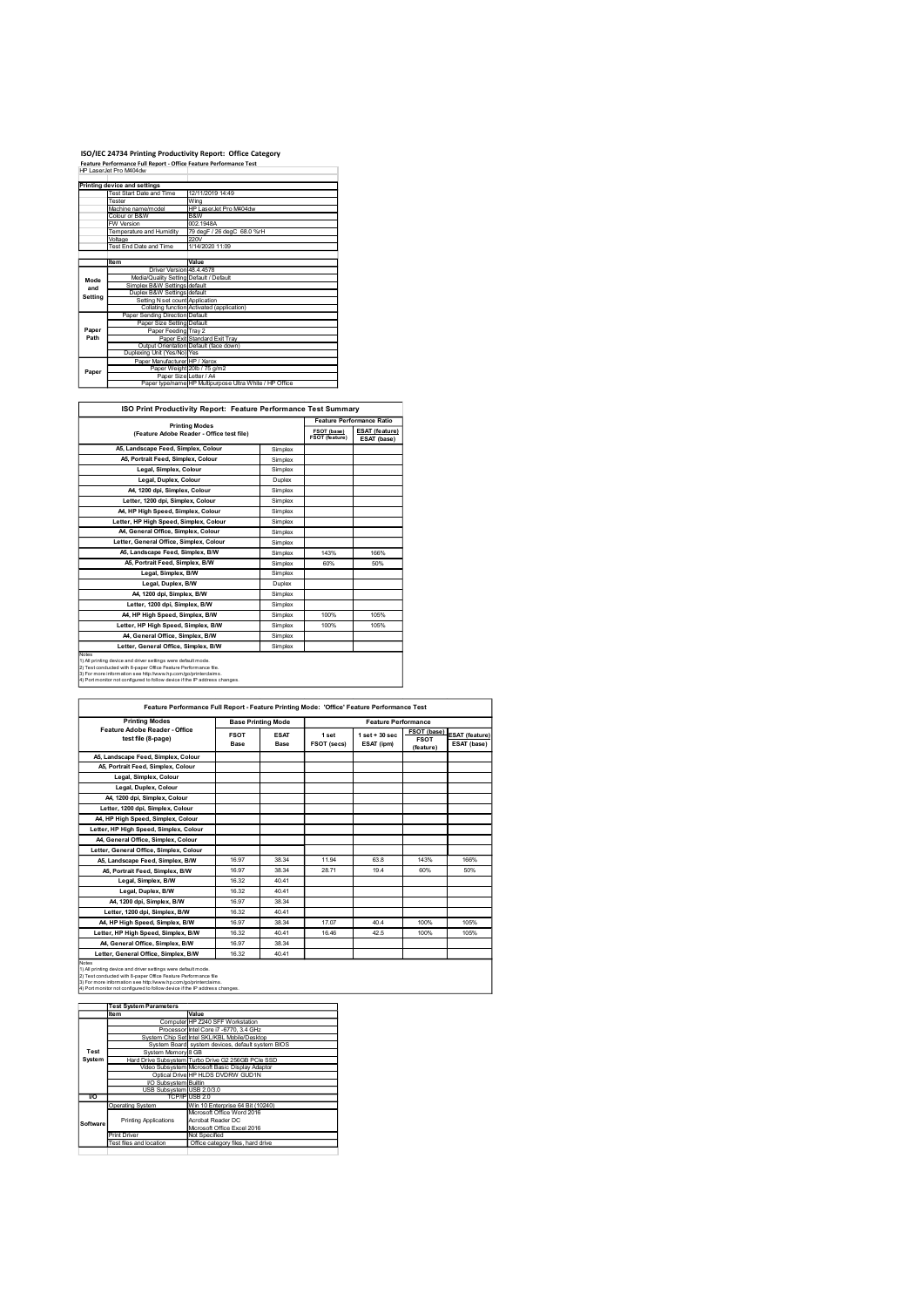## ISO/IEC 24734 Printing Productivity Report: Office Category<br>Feature Performance Full Report - Office Feature Performance Test<br>HP LaserJet Pro M404dw

|         | ISO/IEC 24734 Printing Productivity Report: Office Category                                 |                                                                         |                    |                               |
|---------|---------------------------------------------------------------------------------------------|-------------------------------------------------------------------------|--------------------|-------------------------------|
|         | Feature Performance Full Report - Office Feature Performance Test<br>HP LaserJet Pro M404dw |                                                                         |                    |                               |
|         | Printing device and settings                                                                |                                                                         |                    |                               |
|         | Test Start Date and Time                                                                    |                                                                         |                    |                               |
|         |                                                                                             | 12/11/2019 14:49                                                        |                    |                               |
|         | Tester<br>Machine name/model                                                                | Wing<br>HP LaserJet Pro M404dw                                          |                    |                               |
|         | Colour or B&W                                                                               | B&W                                                                     |                    |                               |
|         | FW Version<br>Temperature and Humidity                                                      | 002.1948A<br>79 degF / 26 degC 68.0 %rH                                 |                    |                               |
|         | Voltage<br>Test End Date and Time                                                           | 220V<br>1/14/2020 11:09                                                 |                    |                               |
|         |                                                                                             |                                                                         |                    |                               |
|         | ltem<br>Driver Version 48.4.4578                                                            | Value                                                                   |                    |                               |
| Mode    | Media/Quality Setting Default / Default                                                     |                                                                         |                    |                               |
| and     | Simplex B&W Settings default<br>Duplex B&W Settings default                                 |                                                                         |                    |                               |
| Setting | Setting N set count Application                                                             |                                                                         |                    |                               |
|         | Paper Sending Direction Default                                                             | Collating function Activated (application)                              |                    |                               |
| Paper   | Paper Size Setting Default<br>Paper Feeding Tray 2                                          |                                                                         |                    |                               |
| Path    |                                                                                             | Paper Exit Standard Exit Tray<br>Output Orientation Default (face down) |                    |                               |
|         | Duplexing Unit (Yes/No) Yes                                                                 |                                                                         |                    |                               |
| Paper   | Paper Manufacturer HP / Xerox                                                               | Paper Weight 20lb / 75 g/m2                                             |                    |                               |
|         | Paper Size Letter / A4                                                                      | Paper type/name HP Multipurpose Ultra White / HP Office                 |                    |                               |
|         |                                                                                             |                                                                         |                    |                               |
|         |                                                                                             | ISO Print Productivity Report: Feature Performance Test Summary         |                    |                               |
|         |                                                                                             | <b>Printing Modes</b>                                                   |                    | Feature Performance Ratio     |
|         |                                                                                             | (Feature Adobe Reader - Office test file)                               |                    | FSOT (base)<br>FSOT (feature) |
|         | A5, Landscape Feed, Simplex, Colour                                                         |                                                                         | Simplex            |                               |
|         | A5, Portrait Feed, Simplex, Colour<br>Legal, Simplex, Colour                                |                                                                         | Simplex<br>Simplex |                               |

| <b>ISO Print Productivity Report: Feature Performance Test Summary</b> |                                  |
|------------------------------------------------------------------------|----------------------------------|
| _____                                                                  | <b>Feature Performance Ratio</b> |

|                | ISO/IEC 24734 Printing Productivity Report: Office Category                                                                                                                                                                                                                      |                                                                    |                                                                                            |                |                            |
|----------------|----------------------------------------------------------------------------------------------------------------------------------------------------------------------------------------------------------------------------------------------------------------------------------|--------------------------------------------------------------------|--------------------------------------------------------------------------------------------|----------------|----------------------------|
|                | Feature Performance Full Report - Office Feature Performance Test<br>HP LaserJet Pro M404dw                                                                                                                                                                                      |                                                                    |                                                                                            |                |                            |
|                |                                                                                                                                                                                                                                                                                  |                                                                    |                                                                                            |                |                            |
|                | Printing device and settings                                                                                                                                                                                                                                                     |                                                                    |                                                                                            |                |                            |
|                | Test Start Date and Time<br><b>Tester</b>                                                                                                                                                                                                                                        | 12/11/2019 14:49<br>Wing                                           |                                                                                            |                |                            |
|                | Machine name/model                                                                                                                                                                                                                                                               | HP LaserJet Pro M404dw                                             |                                                                                            |                |                            |
|                | Colour or B&W<br>W Version                                                                                                                                                                                                                                                       | B&W<br>002.1948A                                                   |                                                                                            |                |                            |
|                | emperature and Humidity                                                                                                                                                                                                                                                          | 79 degF / 26 degC 68.0 %rH                                         |                                                                                            |                |                            |
|                | Voltage                                                                                                                                                                                                                                                                          | 220V                                                               |                                                                                            |                |                            |
|                | <b>Test End Date and Time</b>                                                                                                                                                                                                                                                    | 1/14/2020 11:09                                                    |                                                                                            |                |                            |
|                | Item                                                                                                                                                                                                                                                                             | Value                                                              |                                                                                            |                |                            |
|                | Driver Version 48.4.4578                                                                                                                                                                                                                                                         |                                                                    |                                                                                            |                |                            |
| Mode           | Media/Quality Setting Default / Default<br>Simplex B&W Settings default                                                                                                                                                                                                          |                                                                    |                                                                                            |                |                            |
| and<br>Setting | Duplex B&W Settings default                                                                                                                                                                                                                                                      |                                                                    |                                                                                            |                |                            |
|                | Setting N set count Application                                                                                                                                                                                                                                                  | Collating function Activated (application)                         |                                                                                            |                |                            |
|                | Paper Sending Direction Default                                                                                                                                                                                                                                                  |                                                                    |                                                                                            |                |                            |
|                | Paper Size Setting Default                                                                                                                                                                                                                                                       |                                                                    |                                                                                            |                |                            |
| Paper<br>Path  | Paper Feeding Tray 2                                                                                                                                                                                                                                                             | Paper Exit Standard Exit Tray                                      |                                                                                            |                |                            |
|                |                                                                                                                                                                                                                                                                                  | Output Orientation Default (face down)                             |                                                                                            |                |                            |
|                | Duplexing Unit (Yes/No) Yes                                                                                                                                                                                                                                                      |                                                                    |                                                                                            |                |                            |
|                | Paper Manufacturer HP / Xerox<br>Paper Weight 20lb / 75 g/m2                                                                                                                                                                                                                     |                                                                    |                                                                                            |                |                            |
| Paper          | Paper Size Letter / A4                                                                                                                                                                                                                                                           |                                                                    |                                                                                            |                |                            |
|                |                                                                                                                                                                                                                                                                                  | Paper type/name HP Multipurpose Ultra White / HP Office            |                                                                                            |                |                            |
|                |                                                                                                                                                                                                                                                                                  |                                                                    |                                                                                            |                |                            |
|                | ISO Print Productivity Report: Feature Performance Test Summary                                                                                                                                                                                                                  |                                                                    |                                                                                            |                |                            |
|                |                                                                                                                                                                                                                                                                                  |                                                                    |                                                                                            |                | Feature Performance Ratio  |
|                |                                                                                                                                                                                                                                                                                  | <b>Printing Modes</b><br>(Feature Adobe Reader - Office test file) |                                                                                            | FSOT (base)    | <b>ESAT (feature)</b>      |
|                |                                                                                                                                                                                                                                                                                  |                                                                    |                                                                                            | FSOT (feature) | ESAT (base)                |
|                | A5, Landscape Feed, Simplex, Colour                                                                                                                                                                                                                                              |                                                                    | Simplex                                                                                    |                |                            |
|                | A5, Portrait Feed, Simplex, Colour                                                                                                                                                                                                                                               |                                                                    | Simplex                                                                                    |                |                            |
|                | Legal, Simplex, Colour                                                                                                                                                                                                                                                           |                                                                    | Simplex                                                                                    |                |                            |
|                | Legal, Duplex, Colour                                                                                                                                                                                                                                                            |                                                                    | Duplex                                                                                     |                |                            |
|                | A4, 1200 dpi, Simplex, Colour                                                                                                                                                                                                                                                    |                                                                    | Simplex                                                                                    |                |                            |
|                | Letter, 1200 dpi, Simplex, Colour                                                                                                                                                                                                                                                |                                                                    | Simplex                                                                                    |                |                            |
|                | A4, HP High Speed, Simplex, Colour                                                                                                                                                                                                                                               |                                                                    | Simplex                                                                                    |                |                            |
|                | Letter, HP High Speed, Simplex, Colour                                                                                                                                                                                                                                           |                                                                    | Simplex                                                                                    |                |                            |
|                | A4, General Office, Simplex, Colour                                                                                                                                                                                                                                              |                                                                    | Simplex                                                                                    |                |                            |
|                | Letter, General Office, Simplex, Colour                                                                                                                                                                                                                                          |                                                                    | Simplex                                                                                    |                |                            |
|                | A5, Landscape Feed, Simplex, B/W                                                                                                                                                                                                                                                 |                                                                    | Simplex                                                                                    | 143%           | 166%                       |
|                | A5, Portrait Feed, Simplex, B/W                                                                                                                                                                                                                                                  |                                                                    | Simplex                                                                                    | 60%            | 50%                        |
|                | Legal, Simplex, B/W                                                                                                                                                                                                                                                              |                                                                    | Simplex                                                                                    |                |                            |
|                | Legal, Duplex, B/W                                                                                                                                                                                                                                                               |                                                                    | Duplex                                                                                     |                |                            |
|                | A4, 1200 dpi, Simplex, B/W                                                                                                                                                                                                                                                       |                                                                    | Simplex                                                                                    |                |                            |
|                | Letter, 1200 dpi, Simplex, B/W                                                                                                                                                                                                                                                   |                                                                    | Simplex                                                                                    |                |                            |
|                | A4, HP High Speed, Simplex, B/W                                                                                                                                                                                                                                                  |                                                                    | Simplex                                                                                    | 100%           | 105%                       |
|                | Letter, HP High Speed, Simplex, B/W                                                                                                                                                                                                                                              |                                                                    | Simplex                                                                                    | 100%           | 105%                       |
|                | A4, General Office, Simplex, B/W                                                                                                                                                                                                                                                 |                                                                    | Simplex                                                                                    |                |                            |
|                | Letter, General Office, Simplex, B/W                                                                                                                                                                                                                                             |                                                                    | Simplex                                                                                    |                |                            |
| Notes          | 1) All printing device and driver settings were default mode.<br>2) Test conducted with 8-paper Office Feature Performance file.<br>3) For more information see http://www.hp.com/go/printerclaims.<br>4) Port monitor not configured to follow device if the IP address changes |                                                                    |                                                                                            |                |                            |
|                |                                                                                                                                                                                                                                                                                  |                                                                    | Feature Performance Full Report - Feature Printing Mode: 'Office' Feature Performance Test |                |                            |
|                | <b>Printing Modes</b>                                                                                                                                                                                                                                                            |                                                                    | <b>Rase Printing Mode</b>                                                                  |                | <b>Feature Performance</b> |

|            | A5, Portrait Feed, Simplex, Colour                                                                                                                                                                                                   |                   |                                                                |                     |                      |                                                                                            |             |                |
|------------|--------------------------------------------------------------------------------------------------------------------------------------------------------------------------------------------------------------------------------------|-------------------|----------------------------------------------------------------|---------------------|----------------------|--------------------------------------------------------------------------------------------|-------------|----------------|
|            |                                                                                                                                                                                                                                      |                   |                                                                | Simplex             |                      |                                                                                            |             |                |
|            | Legal, Simplex, Colour                                                                                                                                                                                                               |                   |                                                                | Simplex             |                      |                                                                                            |             |                |
|            | Legal, Duplex, Colour                                                                                                                                                                                                                |                   |                                                                | Duplex              |                      |                                                                                            |             |                |
|            | A4, 1200 dpi, Simplex, Colour                                                                                                                                                                                                        |                   |                                                                | Simplex             |                      |                                                                                            |             |                |
|            | Letter, 1200 dpi, Simplex, Colour                                                                                                                                                                                                    |                   |                                                                | Simplex             |                      |                                                                                            |             |                |
|            | A4, HP High Speed, Simplex, Colour                                                                                                                                                                                                   |                   |                                                                | Simplex             |                      |                                                                                            |             |                |
|            | Letter, HP High Speed, Simplex, Colour                                                                                                                                                                                               |                   |                                                                | Simplex             |                      |                                                                                            |             |                |
|            | A4, General Office, Simplex, Colour                                                                                                                                                                                                  |                   |                                                                | Simplex             |                      |                                                                                            |             |                |
|            | Letter, General Office, Simplex, Colour                                                                                                                                                                                              |                   |                                                                | Simplex             |                      |                                                                                            |             |                |
|            | A5, Landscape Feed, Simplex, B/W                                                                                                                                                                                                     |                   |                                                                | Simplex             | 143%                 | 166%                                                                                       |             |                |
|            | A5, Portrait Feed, Simplex, B/W                                                                                                                                                                                                      |                   |                                                                | Simplex             | 60%                  | 50%                                                                                        |             |                |
|            |                                                                                                                                                                                                                                      |                   |                                                                |                     |                      |                                                                                            |             |                |
|            | Legal, Simplex, B/W                                                                                                                                                                                                                  |                   |                                                                | Simplex             |                      |                                                                                            |             |                |
|            | Legal, Duplex, B/W                                                                                                                                                                                                                   |                   |                                                                | Duplex              |                      |                                                                                            |             |                |
|            | A4, 1200 dpi, Simplex, B/W                                                                                                                                                                                                           |                   |                                                                | Simplex             |                      |                                                                                            |             |                |
|            | Letter, 1200 dpi, Simplex, B/W                                                                                                                                                                                                       |                   |                                                                | Simplex             |                      |                                                                                            |             |                |
|            | A4, HP High Speed, Simplex, B/W                                                                                                                                                                                                      |                   |                                                                | Simplex             | 100%                 | 105%                                                                                       |             |                |
|            | Letter, HP High Speed, Simplex, B/W                                                                                                                                                                                                  |                   |                                                                | Simplex             | 100%                 | 105%                                                                                       |             |                |
|            | A4, General Office, Simplex, B/W                                                                                                                                                                                                     |                   |                                                                | Simplex             |                      |                                                                                            |             |                |
|            | Letter, General Office, Simplex, B/W                                                                                                                                                                                                 |                   |                                                                | Simplex             |                      |                                                                                            |             |                |
|            |                                                                                                                                                                                                                                      |                   |                                                                |                     |                      |                                                                                            |             |                |
|            | ) All printing device and driver settings were default mode.<br>1) Test conducted with 8-paper Office Feature Performance file                                                                                                       |                   |                                                                |                     |                      |                                                                                            |             |                |
|            | , research and the mail of the mail of the mail of the mail of the mail of the sixth of the sixth of the sixth<br>i) For more information see http://www.hp.com/go/printerclaims.<br>i) Port monitor not configured to follow device |                   |                                                                |                     |                      |                                                                                            |             |                |
|            |                                                                                                                                                                                                                                      |                   |                                                                |                     |                      |                                                                                            |             |                |
|            |                                                                                                                                                                                                                                      |                   |                                                                |                     |                      |                                                                                            |             |                |
|            |                                                                                                                                                                                                                                      |                   |                                                                |                     |                      |                                                                                            |             |                |
|            |                                                                                                                                                                                                                                      |                   |                                                                |                     |                      | Feature Performance Full Report - Feature Printing Mode: 'Office' Feature Performance Test |             |                |
|            | <b>Printing Modes</b>                                                                                                                                                                                                                |                   | <b>Base Printing Mode</b>                                      |                     |                      | <b>Feature Performance</b>                                                                 |             |                |
|            | Feature Adobe Reader - Office                                                                                                                                                                                                        |                   |                                                                |                     |                      |                                                                                            | FSOT (base) |                |
|            | test file (8-page)                                                                                                                                                                                                                   |                   | <b>FSOT</b><br>Base                                            | <b>ESAT</b><br>Base | 1 set<br>FSOT (secs) | $1 set + 30 sec$                                                                           | <b>FSOT</b> | ESAT (feature) |
|            |                                                                                                                                                                                                                                      |                   |                                                                |                     |                      | ESAT (ipm)                                                                                 | (feature)   | ESAT (base)    |
|            | A5, Landscape Feed, Simplex, Colour                                                                                                                                                                                                  |                   |                                                                |                     |                      |                                                                                            |             |                |
|            | A5, Portrait Feed, Simplex, Colour                                                                                                                                                                                                   |                   |                                                                |                     |                      |                                                                                            |             |                |
|            | Legal, Simplex, Colour                                                                                                                                                                                                               |                   |                                                                |                     |                      |                                                                                            |             |                |
|            | Legal, Duplex, Colour                                                                                                                                                                                                                |                   |                                                                |                     |                      |                                                                                            |             |                |
|            | A4, 1200 dpi, Simplex, Colour                                                                                                                                                                                                        |                   |                                                                |                     |                      |                                                                                            |             |                |
|            | Letter, 1200 dpi, Simplex, Colour                                                                                                                                                                                                    |                   |                                                                |                     |                      |                                                                                            |             |                |
|            | A4, HP High Speed, Simplex, Colour                                                                                                                                                                                                   |                   |                                                                |                     |                      |                                                                                            |             |                |
|            |                                                                                                                                                                                                                                      |                   |                                                                |                     |                      |                                                                                            |             |                |
|            | Letter, HP High Speed, Simplex, Colour                                                                                                                                                                                               |                   |                                                                |                     |                      |                                                                                            |             |                |
|            | A4, General Office, Simplex, Colour                                                                                                                                                                                                  |                   |                                                                |                     |                      |                                                                                            |             |                |
|            | Letter, General Office, Simplex, Colour                                                                                                                                                                                              |                   |                                                                |                     |                      |                                                                                            |             |                |
|            | A5, Landscape Feed, Simplex, B/W                                                                                                                                                                                                     |                   | 16.97                                                          | 38.34               | 11.94                | 63.8                                                                                       | 143%        | 166%           |
|            |                                                                                                                                                                                                                                      |                   | 16.97                                                          | 38.34               | 28.71                | 19.4                                                                                       | 60%         | 50%            |
|            | A5, Portrait Feed, Simplex, B/W                                                                                                                                                                                                      |                   | 16.32                                                          | 40.41               |                      |                                                                                            |             |                |
|            |                                                                                                                                                                                                                                      |                   | 16.32                                                          | 40.41               |                      |                                                                                            |             |                |
|            | Legal, Simplex, B/W                                                                                                                                                                                                                  |                   |                                                                | 38.34               |                      |                                                                                            |             |                |
|            | Legal, Duplex, B/W                                                                                                                                                                                                                   |                   |                                                                |                     |                      |                                                                                            |             |                |
|            | A4, 1200 dpi, Simplex, B/W                                                                                                                                                                                                           |                   | 16.97                                                          |                     |                      |                                                                                            |             |                |
|            | Letter, 1200 dpi, Simplex, B/W                                                                                                                                                                                                       |                   | 16.32                                                          | 40.41               |                      |                                                                                            |             |                |
|            | A4, HP High Speed, Simplex, B/W                                                                                                                                                                                                      |                   | 16.97                                                          | 38.34               | 17.07                | 40.4                                                                                       | 100%        | 105%           |
|            | Letter, HP High Speed, Simplex, B/W                                                                                                                                                                                                  |                   | 16.32                                                          | 40.41               | 16.46                | 42.5                                                                                       | 100%        | 105%           |
|            | A4, General Office, Simplex, B/W                                                                                                                                                                                                     |                   | 16.97                                                          | 38.34               |                      |                                                                                            |             |                |
|            | Letter, General Office, Simplex, B/W                                                                                                                                                                                                 |                   | 16.32                                                          | 40.41               |                      |                                                                                            |             |                |
| lotes      |                                                                                                                                                                                                                                      |                   |                                                                |                     |                      |                                                                                            |             |                |
|            | All printing device and driver settings were default mode.<br>Test conducted with 8-paper Office Feature Performance file                                                                                                            |                   |                                                                |                     |                      |                                                                                            |             |                |
|            | .<br>For more information see http://www.hp.com/go/printerclaims                                                                                                                                                                     |                   |                                                                |                     |                      |                                                                                            |             |                |
|            | 4) Port monitor not configured to follow device if the IP address changes.                                                                                                                                                           |                   |                                                                |                     |                      |                                                                                            |             |                |
|            |                                                                                                                                                                                                                                      |                   |                                                                |                     |                      |                                                                                            |             |                |
|            | <b>Test System Parameters</b>                                                                                                                                                                                                        |                   |                                                                |                     |                      |                                                                                            |             |                |
|            | Item                                                                                                                                                                                                                                 | Value             |                                                                |                     |                      |                                                                                            |             |                |
|            |                                                                                                                                                                                                                                      |                   | Computer HP Z240 SFF Workstation                               |                     |                      |                                                                                            |             |                |
|            | System Chip Set Intel SKL/KBL Mobile/Desktop                                                                                                                                                                                         |                   | Processor Intel Core i7 -6770, 3.4 GHz                         |                     |                      |                                                                                            |             |                |
|            | System Board system devices, default system BIOS                                                                                                                                                                                     |                   |                                                                |                     |                      |                                                                                            |             |                |
| Test       | System Memory 8 GB                                                                                                                                                                                                                   |                   |                                                                |                     |                      |                                                                                            |             |                |
| System     | Hard Drive Subsystem Turbo Drive G2 256GB PCIe SSD                                                                                                                                                                                   |                   |                                                                |                     |                      |                                                                                            |             |                |
|            | Video Subsystem Microsoft Basic Display Adaptor                                                                                                                                                                                      |                   | Optical Drive HP HLDS DVDRW GUD1N                              |                     |                      |                                                                                            |             |                |
|            | VO Subsystem Builtin                                                                                                                                                                                                                 |                   |                                                                |                     |                      |                                                                                            |             |                |
|            | USB Subsystem USB 2.0/3.0                                                                                                                                                                                                            |                   |                                                                |                     |                      |                                                                                            |             |                |
| <b>I/O</b> |                                                                                                                                                                                                                                      | TCP/IPIUSB 2.0    |                                                                |                     |                      |                                                                                            |             |                |
|            | <b>Operating System</b>                                                                                                                                                                                                              |                   | Win 10 Enterprise 64 Bit (10240)<br>Microsoft Office Word 2016 |                     |                      |                                                                                            |             |                |
|            | <b>Printing Applications</b>                                                                                                                                                                                                         | Acrobat Reader DC |                                                                |                     |                      |                                                                                            |             |                |
| Software   |                                                                                                                                                                                                                                      |                   | Microsoft Office Excel 2016                                    |                     |                      |                                                                                            |             |                |
|            | Print Driver                                                                                                                                                                                                                         | Not Specified     |                                                                |                     |                      |                                                                                            |             |                |
|            | est files and location                                                                                                                                                                                                               |                   | Office category files, hard drive                              |                     |                      |                                                                                            |             |                |
|            |                                                                                                                                                                                                                                      |                   |                                                                |                     |                      |                                                                                            |             |                |
|            |                                                                                                                                                                                                                                      |                   |                                                                |                     |                      |                                                                                            |             |                |
|            |                                                                                                                                                                                                                                      |                   |                                                                |                     |                      |                                                                                            |             |                |
|            |                                                                                                                                                                                                                                      |                   |                                                                |                     |                      |                                                                                            |             |                |
|            |                                                                                                                                                                                                                                      |                   |                                                                |                     |                      |                                                                                            |             |                |
|            |                                                                                                                                                                                                                                      |                   |                                                                |                     |                      |                                                                                            |             |                |
|            |                                                                                                                                                                                                                                      |                   |                                                                |                     |                      |                                                                                            |             |                |
|            |                                                                                                                                                                                                                                      |                   |                                                                |                     |                      |                                                                                            |             |                |
|            |                                                                                                                                                                                                                                      |                   |                                                                |                     |                      |                                                                                            |             |                |
|            |                                                                                                                                                                                                                                      |                   |                                                                |                     |                      |                                                                                            |             |                |

|           | Test System Parameters       |                                                    |
|-----------|------------------------------|----------------------------------------------------|
|           | Item                         | Value                                              |
|           |                              | Computer HP Z240 SFF Workstation                   |
|           |                              | Processor Intel Core i7 -6770, 3.4 GHz             |
|           |                              | System Chip Set Intel SKL/KBL Mobile/Desktop       |
|           |                              | System Board system devices, default system BIOS   |
| Test      | System Memory 8 GB           |                                                    |
| System    |                              | Hard Drive Subsystem Turbo Drive G2 256GB PCIe SSD |
|           |                              | Video Subsystem Microsoft Basic Display Adaptor    |
|           |                              | Optical Drive HP HLDS DVDRW GUD1N                  |
|           | VO Subsystem Builtin         |                                                    |
|           | USB Subsystem USB 2.0/3.0    |                                                    |
| <b>VO</b> |                              | TCP/IPIUSB 2.0                                     |
|           | <b>Operating System</b>      | Win 10 Enterprise 64 Bit (10240)                   |
|           |                              | Microsoft Office Word 2016                         |
| Software  | <b>Printing Applications</b> | Acrobat Reader DC                                  |
|           |                              | Microsoft Office Excel 2016                        |
|           | <b>Print Driver</b>          | Not Specified                                      |
|           | Test files and location      | Office category files, hard drive                  |
|           |                              |                                                    |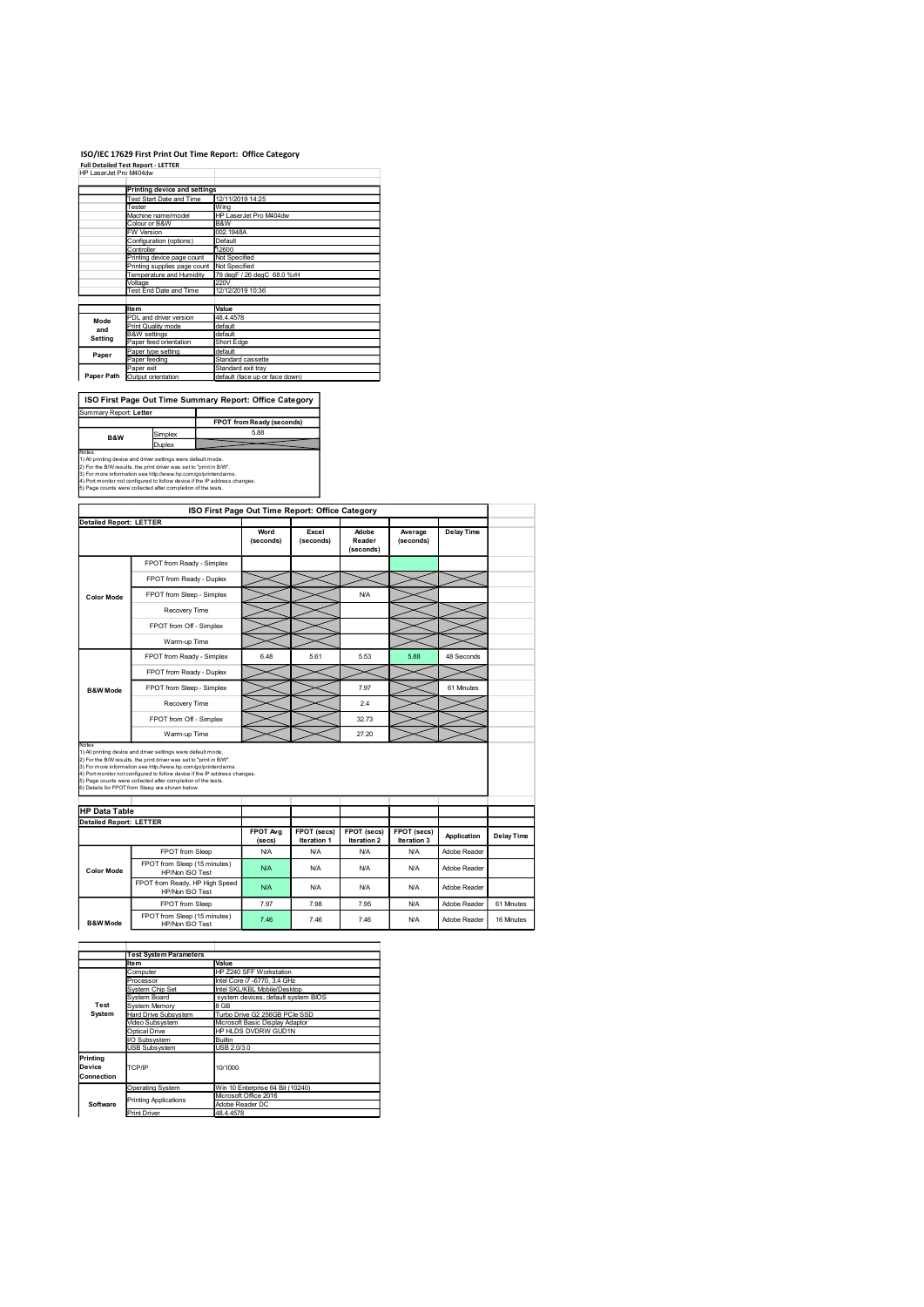### ISO/IEC 17629 First Print Out Time Report: Office Category

|                               |                                                                                                                                      | ISO/IEC 17629 First Print Out Time Report: Office Category |
|-------------------------------|--------------------------------------------------------------------------------------------------------------------------------------|------------------------------------------------------------|
| HP LaserJet Pro M404dw        | <b>Full Detailed Test Report - LETTER</b>                                                                                            |                                                            |
|                               |                                                                                                                                      |                                                            |
|                               | <b>Printing device and settings</b>                                                                                                  | 12/11/2019 14:25                                           |
|                               | Test Start Date and Time<br>Tester                                                                                                   | Wing                                                       |
|                               | Machine name/model                                                                                                                   | HP LaserJet Pro M404dw                                     |
|                               | Colour or B&W<br>W Version                                                                                                           | B&W<br>002.1948A                                           |
|                               | Configuration (options)                                                                                                              | Default                                                    |
|                               | Controller<br>Printing device page count                                                                                             | 12600<br>Not Specified                                     |
|                               | Printing supplies page count                                                                                                         | Not Specified                                              |
|                               | Temperature and Humidity                                                                                                             | 79 degF / 26 degC 68.0 %rH<br>220V                         |
|                               | Voltage<br>Test End Date and Time                                                                                                    | 12/12/2019 10:36                                           |
|                               |                                                                                                                                      |                                                            |
|                               | <b>Item</b><br>PDL and driver version                                                                                                | Value<br>48.4.4578                                         |
|                               | Print Quality mode                                                                                                                   | default                                                    |
| Mode                          |                                                                                                                                      | default                                                    |
| and                           | <b>B&amp;W</b> settings                                                                                                              |                                                            |
| Setting                       | Paper feed orientation                                                                                                               | Short Edge<br>default                                      |
| Paper                         | Paper type setting<br>Paper feeding                                                                                                  | Standard cassette                                          |
|                               | Paper exit                                                                                                                           | Standard exit tray                                         |
|                               | Paper Path Output orientation                                                                                                        | default (face up or face down)                             |
|                               |                                                                                                                                      |                                                            |
|                               |                                                                                                                                      | ISO First Page Out Time Summary Report: Office Category    |
|                               |                                                                                                                                      | FPOT from Ready (seconds)                                  |
|                               | Simplex                                                                                                                              | 5.88                                                       |
| Summary Report: Letter<br>B&W | Duplex                                                                                                                               |                                                            |
| Notes                         | 1) All printing device and driver settings were default mode.<br>2) For the B/W results, the print driver was set to "print in B/W". |                                                            |

|                                | <b>Printing device and settings</b>                                                                                                        |                               |                                                                  |                                  |                           |                           |              |                   |
|--------------------------------|--------------------------------------------------------------------------------------------------------------------------------------------|-------------------------------|------------------------------------------------------------------|----------------------------------|---------------------------|---------------------------|--------------|-------------------|
|                                | Test Start Date and Time<br>Tester                                                                                                         | 12/11/2019 14:25<br>Wing      |                                                                  |                                  |                           |                           |              |                   |
|                                | Machine name/model<br>Colour or B&W                                                                                                        | HP LaserJet Pro M404dw<br>B&W |                                                                  |                                  |                           |                           |              |                   |
|                                | FW Version                                                                                                                                 | 002.1948A<br>Default          |                                                                  |                                  |                           |                           |              |                   |
|                                | Configuration (options)<br>Controller                                                                                                      | 12600                         |                                                                  |                                  |                           |                           |              |                   |
|                                | Printing device page count<br>Printing supplies page count Not Specified                                                                   | Not Specified                 |                                                                  |                                  |                           |                           |              |                   |
|                                | Temperature and Humidity<br>Voltage                                                                                                        | 220V                          | 79 degF / 26 degC 68.0 %rH                                       |                                  |                           |                           |              |                   |
|                                | Test End Date and Time                                                                                                                     | 12/12/2019 10:36              |                                                                  |                                  |                           |                           |              |                   |
|                                | Item<br>PDL and driver version                                                                                                             | Value<br>48.4.4578            |                                                                  |                                  |                           |                           |              |                   |
| Mode<br>and                    | Print Quality mode                                                                                                                         | default                       |                                                                  |                                  |                           |                           |              |                   |
| Setting                        | <b>B&amp;W</b> settings<br>Paper feed orientation                                                                                          | default<br>Short Edge         |                                                                  |                                  |                           |                           |              |                   |
| Paper                          | Paper type setting<br>Paper feeding                                                                                                        | default                       | Standard cassette                                                |                                  |                           |                           |              |                   |
| Paper Path                     | Paper exit<br>Output orientation                                                                                                           | Standard exit tray            | default (face up or face down)                                   |                                  |                           |                           |              |                   |
|                                |                                                                                                                                            |                               |                                                                  |                                  |                           |                           |              |                   |
|                                | ISO First Page Out Time Summary Report: Office Category                                                                                    |                               |                                                                  |                                  |                           |                           |              |                   |
| Summary Report: Letter         |                                                                                                                                            |                               |                                                                  |                                  |                           |                           |              |                   |
|                                | Simplex                                                                                                                                    |                               | FPOT from Ready (seconds)<br>5.88                                |                                  |                           |                           |              |                   |
| B&W                            | Duplex                                                                                                                                     |                               |                                                                  |                                  |                           |                           |              |                   |
| Votes                          | ) All printing device and driver settings were default mode.                                                                               |                               |                                                                  |                                  |                           |                           |              |                   |
|                                | 2) For the B/W results, the print driver was set to "print in B/W".<br>3) For more information see http://www.hp.com/go/printerclaims.     |                               |                                                                  |                                  |                           |                           |              |                   |
|                                | 4) Port monitor not configured to follow device if the IP address changes.<br>5) Page counts were collected after completion of the tests. |                               |                                                                  |                                  |                           |                           |              |                   |
|                                |                                                                                                                                            |                               |                                                                  |                                  |                           |                           |              |                   |
| <b>Detailed Report: LETTER</b> |                                                                                                                                            |                               | ISO First Page Out Time Report: Office Category                  |                                  |                           |                           |              |                   |
|                                |                                                                                                                                            |                               | Word                                                             | Excel                            | Adobe                     | Average                   | Delay Time   |                   |
|                                |                                                                                                                                            |                               | (seconds)                                                        | (seconds)                        | Reader<br>(seconds)       | (seconds)                 |              |                   |
|                                | FPOT from Ready - Simplex                                                                                                                  |                               |                                                                  |                                  |                           |                           |              |                   |
|                                | FPOT from Ready - Duplex                                                                                                                   |                               |                                                                  |                                  |                           |                           |              |                   |
|                                | FPOT from Sleep - Simplex                                                                                                                  |                               |                                                                  |                                  | <b>N/A</b>                |                           |              |                   |
| <b>Color Mode</b>              | Recovery Time                                                                                                                              |                               |                                                                  |                                  |                           |                           |              |                   |
|                                |                                                                                                                                            |                               |                                                                  |                                  |                           |                           |              |                   |
|                                | FPOT from Off - Simplex                                                                                                                    |                               |                                                                  |                                  |                           |                           |              |                   |
|                                | Warm-up Time                                                                                                                               |                               |                                                                  |                                  |                           |                           |              |                   |
|                                | FPOT from Ready - Simplex                                                                                                                  |                               | 6.48                                                             | 5.61                             | 5.53                      | 5.88                      | 48 Seconds   |                   |
|                                | FPOT from Ready - Duplex                                                                                                                   |                               |                                                                  |                                  |                           |                           |              |                   |
| <b>B&amp;W Mode</b>            | FPOT from Sleep - Simplex                                                                                                                  |                               |                                                                  |                                  | 7.97                      |                           | 61 Minutes   |                   |
|                                | Recovery Time                                                                                                                              |                               |                                                                  |                                  | 2.4                       |                           |              |                   |
|                                | FPOT from Off - Simplex                                                                                                                    |                               |                                                                  |                                  | 32.73                     |                           |              |                   |
|                                | Warm-up Time                                                                                                                               |                               |                                                                  |                                  | 27.20                     |                           |              |                   |
| Notes                          | ) All printing device and driver settings were default mode.                                                                               |                               |                                                                  |                                  |                           |                           |              |                   |
|                                | 2) For the B/W results, the print driver was set to "print in B/W".<br>3) For more information see http://www.hp.com/go/printerclaims.     |                               |                                                                  |                                  |                           |                           |              |                   |
|                                | 1) Port monitor not configured to follow device if the IP address changes.<br>5) Page counts were collected after completion of the tests. |                               |                                                                  |                                  |                           |                           |              |                   |
|                                | 6) Details for FPOT from Sleep are shown below.                                                                                            |                               |                                                                  |                                  |                           |                           |              |                   |
| <b>HP Data Table</b>           |                                                                                                                                            |                               |                                                                  |                                  |                           |                           |              |                   |
| <b>Detailed Report: LETTER</b> |                                                                                                                                            |                               |                                                                  |                                  |                           |                           |              |                   |
|                                |                                                                                                                                            |                               | FPOT Avg                                                         | FPOT (secs)                      | FPOT (secs)               | FPOT (secs)               | Application  | <b>Delay Time</b> |
|                                | FPOT from Sleep                                                                                                                            |                               | (secs)<br><b>N/A</b>                                             | <b>Iteration 1</b><br><b>N/A</b> | Iteration 2<br><b>N/A</b> | Iteration 3<br><b>N/A</b> | Adobe Reader |                   |
|                                | FPOT from Sleep (15 minutes)                                                                                                               |                               | N/A                                                              | <b>N/A</b>                       | <b>N/A</b>                | <b>N/A</b>                | Adobe Reader |                   |
| <b>Color Mode</b>              | HP/Non ISO Test                                                                                                                            |                               |                                                                  |                                  |                           |                           |              |                   |
|                                | FPO I from Ready, HP High Speed<br>HP/Non ISO Test                                                                                         |                               | <b>N/A</b>                                                       | <b>N/A</b>                       | N/A                       | <b>N/A</b>                | Adobe Reader |                   |
|                                | FPOT from Sleep                                                                                                                            |                               | 7.97                                                             | 7.98                             | 7.95                      | <b>N/A</b>                | Adobe Reader | 61 Minutes        |
| <b>B&amp;W</b> Mode            | FPOT from Sleep (15 minutes)<br>HP/Non ISO Test                                                                                            |                               | 7.46                                                             | 7.46                             | 7.46                      | <b>N/A</b>                | Adobe Reader | 16 Minutes        |
|                                |                                                                                                                                            |                               |                                                                  |                                  |                           |                           |              |                   |
|                                |                                                                                                                                            |                               |                                                                  |                                  |                           |                           |              |                   |
|                                | <b>Test System Parameters</b><br>Item                                                                                                      | Value                         |                                                                  |                                  |                           |                           |              |                   |
|                                | Computer<br>Processor                                                                                                                      |                               | HP Z240 SFF Workstation<br>Intel Core i7 -6770, 3.4 GHz          |                                  |                           |                           |              |                   |
|                                | System Chip Set                                                                                                                            |                               | Intel SKL/KBL Mobile/Desktop                                     |                                  |                           |                           |              |                   |
| Test                           | System Board<br>System Memory                                                                                                              | 8 GB                          | system devices, default system BIOS                              |                                  |                           |                           |              |                   |
| System                         | Hard Drive Subsystem<br>Video Subsystem                                                                                                    |                               | Turbo Drive G2 256GB PCIe SSD<br>Microsoft Basic Display Adaptor |                                  |                           |                           |              |                   |
|                                | Optical Drive                                                                                                                              |                               | HP HLDS DVDRW GUD1N                                              |                                  |                           |                           |              |                   |
|                                | I/O Subsystem<br><b>USB Subsystem</b>                                                                                                      | Builtin<br>USB 2.0/3.0        |                                                                  |                                  |                           |                           |              |                   |
| Printing                       |                                                                                                                                            |                               |                                                                  |                                  |                           |                           |              |                   |
| Device<br>Connection           | TCP/IP                                                                                                                                     | 10/1000                       |                                                                  |                                  |                           |                           |              |                   |
|                                | <b>Operating System</b>                                                                                                                    |                               | Win 10 Enterprise 64 Bit (10240)                                 |                                  |                           |                           |              |                   |
| Software                       | Printing Applications                                                                                                                      |                               | Microsoft Office 2016<br>Adobe Reader DC                         |                                  |                           |                           |              |                   |
|                                | <b>Print Driver</b>                                                                                                                        | 48.4.4578                     |                                                                  |                                  |                           |                           |              |                   |
|                                |                                                                                                                                            |                               |                                                                  |                                  |                           |                           |              |                   |
|                                |                                                                                                                                            |                               |                                                                  |                                  |                           |                           |              |                   |
|                                |                                                                                                                                            |                               |                                                                  |                                  |                           |                           |              |                   |
|                                |                                                                                                                                            |                               |                                                                  |                                  |                           |                           |              |                   |
|                                |                                                                                                                                            |                               |                                                                  |                                  |                           |                           |              |                   |
|                                |                                                                                                                                            |                               |                                                                  |                                  |                           |                           |              |                   |
|                                |                                                                                                                                            |                               |                                                                  |                                  |                           |                           |              |                   |

|                                  | <b>Test System Parameters</b> |                                          |  |  |  |
|----------------------------------|-------------------------------|------------------------------------------|--|--|--|
|                                  | Ite <sub>m</sub>              | Value                                    |  |  |  |
|                                  | Computer                      | HP Z240 SFF Workstation                  |  |  |  |
|                                  | Processor                     | Intel Core i7 -6770, 3.4 GHz             |  |  |  |
|                                  | <b>System Chip Set</b>        | Intel SKL/KBL Mobile/Desktop             |  |  |  |
|                                  | System Board                  | system devices, default system BIOS      |  |  |  |
| Test                             | System Memory                 | 8 GB                                     |  |  |  |
| System                           | <b>Hard Drive Subsystem</b>   | Turbo Drive G2 256GB PCIe SSD            |  |  |  |
|                                  | Video Subsystem               | Microsoft Basic Display Adaptor          |  |  |  |
|                                  | Optical Drive                 | HP HLDS DVDRW GUD1N                      |  |  |  |
|                                  | I/O Subsystem                 | Builtin                                  |  |  |  |
|                                  | <b>USB Subsystem</b>          | USB 2.0/3.0                              |  |  |  |
| Printing<br>Device<br>Connection | TCP/IP                        | 10/1000                                  |  |  |  |
|                                  | <b>Operating System</b>       | Win 10 Enterprise 64 Bit (10240)         |  |  |  |
| Software                         | <b>Printing Applications</b>  | Microsoft Office 2016<br>Adobe Reader DC |  |  |  |
|                                  | <b>Print Driver</b>           | 48.4.4578                                |  |  |  |